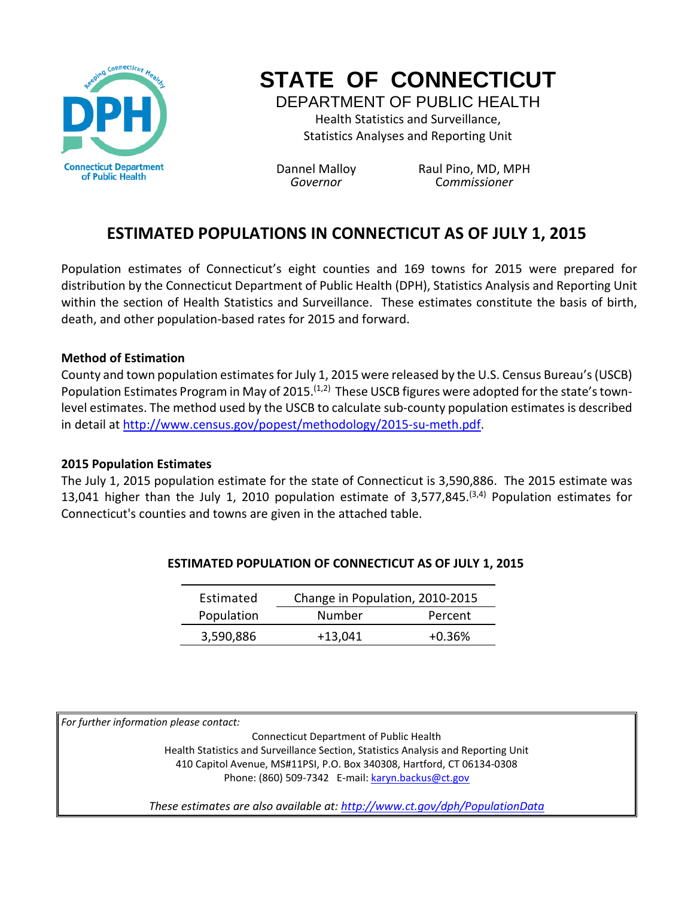

# **STATE OF CONNECTICUT**

DEPARTMENT OF PUBLIC HEALTH Health Statistics and Surveillance, Statistics Analyses and Reporting Unit

Dannel Malloy Raul Pino, MD, MPH *Governor* C*ommissioner*

# **ESTIMATED POPULATIONS IN CONNECTICUT AS OF JULY 1, 2015**

Population estimates of Connecticut's eight counties and 169 towns for 2015 were prepared for distribution by the Connecticut Department of Public Health (DPH), Statistics Analysis and Reporting Unit within the section of Health Statistics and Surveillance. These estimates constitute the basis of birth, death, and other population-based rates for 2015 and forward.

#### **Method of Estimation**

County and town population estimates for July 1, 2015 were released by the U.S. Census Bureau's (USCB) Population Estimates Program in May of 2015.<sup> $(1,2)$ </sup> These USCB figures were adopted for the state's townlevel estimates. The method used by the USCB to calculate sub-county population estimates is described in detail at http://www.census.gov/popest/methodology/2015-su-meth.pdf.

#### **2015 Population Estimates**

The July 1, 2015 population estimate for the state of Connecticut is 3,590,886. The 2015 estimate was 13,041 higher than the July 1, 2010 population estimate of 3,577,845.<sup>(3,4)</sup> Population estimates for Connecticut's counties and towns are given in the attached table.

| Estimated  | Change in Population, 2010-2015 |          |  |  |  |
|------------|---------------------------------|----------|--|--|--|
| Population | Number                          | Percent  |  |  |  |
| 3,590,886  | $+13,041$                       | $+0.36%$ |  |  |  |

#### **ESTIMATED POPULATION OF CONNECTICUT AS OF JULY 1, 2015**

*For further information please contact:*

Connecticut Department of Public Health Health Statistics and Surveillance Section, Statistics Analysis and Reporting Unit 410 Capitol Avenue, MS#11PSI, P.O. Box 340308, Hartford, CT 06134-0308 Phone: (860) 509-7342 E-mail: karyn.backus@ct.gov

*These estimates are also available at: http://www.ct.gov/dph/PopulationData*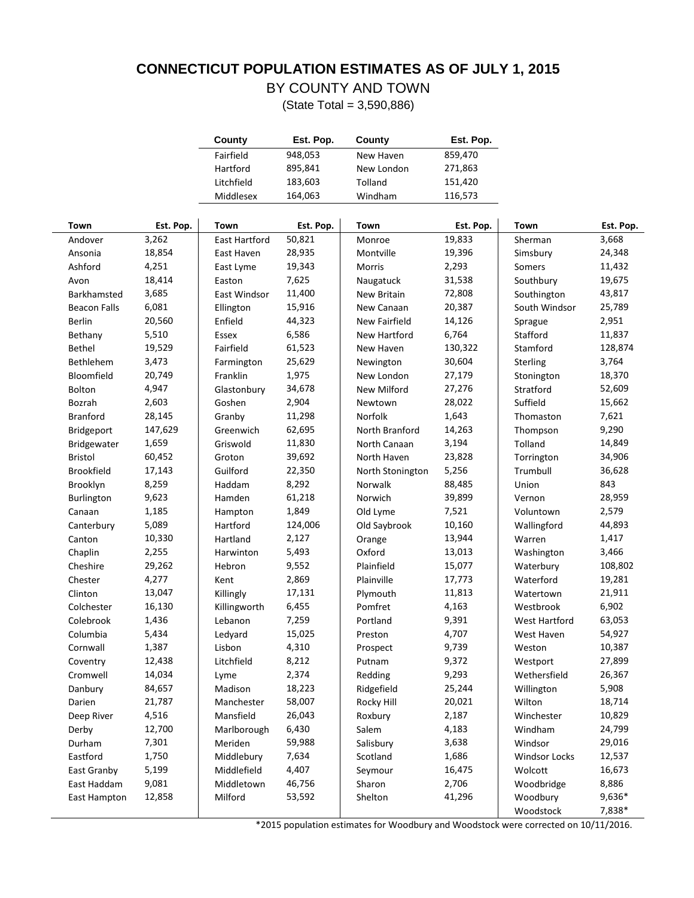### **CONNECTICUT POPULATION ESTIMATES AS OF JULY 1, 2015**

## BY COUNTY AND TOWN

| County     | Est. Pop. | County     | Est. Pop. |
|------------|-----------|------------|-----------|
| Fairfield  | 948,053   | New Haven  | 859,470   |
| Hartford   | 895,841   | New London | 271,863   |
| Litchfield | 183,603   | Tolland    | 151,420   |
| Middlesex  | 164,063   | Windham    | 116,573   |

(State Total = 3,590,886)

| Town                | Est. Pop. | Town          | Est. Pop. | Town             | Est. Pop. | Town                 | Est. Pop. |
|---------------------|-----------|---------------|-----------|------------------|-----------|----------------------|-----------|
| Andover             | 3,262     | East Hartford | 50,821    | Monroe           | 19,833    | Sherman              | 3,668     |
| Ansonia             | 18,854    | East Haven    | 28,935    | Montville        | 19,396    | Simsbury             | 24,348    |
| Ashford             | 4,251     | East Lyme     | 19,343    | Morris           | 2,293     | Somers               | 11,432    |
| Avon                | 18,414    | Easton        | 7,625     | Naugatuck        | 31,538    | Southbury            | 19,675    |
| Barkhamsted         | 3,685     | East Windsor  | 11,400    | New Britain      | 72,808    | Southington          | 43,817    |
| <b>Beacon Falls</b> | 6,081     | Ellington     | 15,916    | New Canaan       | 20,387    | South Windsor        | 25,789    |
| <b>Berlin</b>       | 20,560    | Enfield       | 44,323    | New Fairfield    | 14,126    | Sprague              | 2,951     |
| Bethany             | 5,510     | Essex         | 6,586     | New Hartford     | 6,764     | Stafford             | 11,837    |
| <b>Bethel</b>       | 19,529    | Fairfield     | 61,523    | New Haven        | 130,322   | Stamford             | 128,874   |
| Bethlehem           | 3,473     | Farmington    | 25,629    | Newington        | 30,604    | Sterling             | 3,764     |
| Bloomfield          | 20,749    | Franklin      | 1,975     | New London       | 27,179    | Stonington           | 18,370    |
| Bolton              | 4,947     | Glastonbury   | 34,678    | New Milford      | 27,276    | Stratford            | 52,609    |
| Bozrah              | 2,603     | Goshen        | 2,904     | Newtown          | 28,022    | Suffield             | 15,662    |
| <b>Branford</b>     | 28,145    | Granby        | 11,298    | Norfolk          | 1,643     | Thomaston            | 7,621     |
| Bridgeport          | 147,629   | Greenwich     | 62,695    | North Branford   | 14,263    | Thompson             | 9,290     |
| Bridgewater         | 1,659     | Griswold      | 11,830    | North Canaan     | 3,194     | Tolland              | 14,849    |
| Bristol             | 60,452    | Groton        | 39,692    | North Haven      | 23,828    | Torrington           | 34,906    |
| <b>Brookfield</b>   | 17,143    | Guilford      | 22,350    | North Stonington | 5,256     | Trumbull             | 36,628    |
| Brooklyn            | 8,259     | Haddam        | 8,292     | Norwalk          | 88,485    | Union                | 843       |
| Burlington          | 9,623     | Hamden        | 61,218    | Norwich          | 39,899    | Vernon               | 28,959    |
| Canaan              | 1,185     | Hampton       | 1,849     | Old Lyme         | 7,521     | Voluntown            | 2,579     |
| Canterbury          | 5,089     | Hartford      | 124,006   | Old Saybrook     | 10,160    | Wallingford          | 44,893    |
| Canton              | 10,330    | Hartland      | 2,127     | Orange           | 13,944    | Warren               | 1,417     |
| Chaplin             | 2,255     | Harwinton     | 5,493     | Oxford           | 13,013    | Washington           | 3,466     |
| Cheshire            | 29,262    | Hebron        | 9,552     | Plainfield       | 15,077    | Waterbury            | 108,802   |
| Chester             | 4,277     | Kent          | 2,869     | Plainville       | 17,773    | Waterford            | 19,281    |
| Clinton             | 13,047    | Killingly     | 17,131    | Plymouth         | 11,813    | Watertown            | 21,911    |
| Colchester          | 16,130    | Killingworth  | 6,455     | Pomfret          | 4,163     | Westbrook            | 6,902     |
| Colebrook           | 1,436     | Lebanon       | 7,259     | Portland         | 9,391     | West Hartford        | 63,053    |
| Columbia            | 5,434     | Ledyard       | 15,025    | Preston          | 4,707     | West Haven           | 54,927    |
| Cornwall            | 1,387     | Lisbon        | 4,310     | Prospect         | 9,739     | Weston               | 10,387    |
| Coventry            | 12,438    | Litchfield    | 8,212     | Putnam           | 9,372     | Westport             | 27,899    |
| Cromwell            | 14,034    | Lyme          | 2,374     | Redding          | 9,293     | Wethersfield         | 26,367    |
| Danbury             | 84,657    | Madison       | 18,223    | Ridgefield       | 25,244    | Willington           | 5,908     |
| Darien              | 21,787    | Manchester    | 58,007    | Rocky Hill       | 20,021    | Wilton               | 18,714    |
| Deep River          | 4,516     | Mansfield     | 26,043    | Roxbury          | 2,187     | Winchester           | 10,829    |
| Derby               | 12,700    | Marlborough   | 6,430     | Salem            | 4,183     | Windham              | 24,799    |
| Durham              | 7,301     | Meriden       | 59,988    | Salisbury        | 3,638     | Windsor              | 29,016    |
| Eastford            | 1,750     | Middlebury    | 7,634     | Scotland         | 1,686     | <b>Windsor Locks</b> | 12,537    |
| East Granby         | 5,199     | Middlefield   | 4,407     | Seymour          | 16,475    | Wolcott              | 16,673    |
| East Haddam         | 9,081     | Middletown    | 46,756    | Sharon           | 2,706     | Woodbridge           | 8,886     |
| East Hampton        | 12,858    | Milford       | 53,592    | Shelton          | 41,296    | Woodbury             | 9,636*    |
|                     |           |               |           |                  |           | Woodstock            | 7,838*    |

\*2015 population estimates for Woodbury and Woodstock were corrected on 10/11/2016.